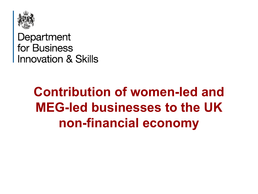

Department for Business **Innovation & Skills** 

# **Contribution of women-led and MEG-led businesses to the UK non-financial economy**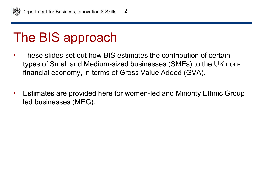## The BIS approach

- These slides set out how BIS estimates the contribution of certain types of Small and Medium-sized businesses (SMEs) to the UK nonfinancial economy, in terms of Gross Value Added (GVA).
- Estimates are provided here for women-led and Minority Ethnic Group led businesses (MEG).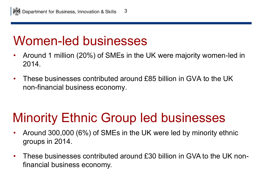#### Women-led businesses

- Around 1 million (20%) of SMEs in the UK were majority women-led in 2014.
- These businesses contributed around £85 billion in GVA to the UK non-financial business economy.

## Minority Ethnic Group led businesses

- Around 300,000 (6%) of SMEs in the UK were led by minority ethnic groups in 2014.
- These businesses contributed around £30 billion in GVA to the UK nonfinancial business economy.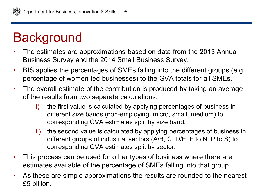## **Background**

- The estimates are approximations based on data from the 2013 Annual Business Survey and the 2014 Small Business Survey.
- BIS applies the percentages of SMEs falling into the different groups (e.g. percentage of women-led businesses) to the GVA totals for all SMEs.
- The overall estimate of the contribution is produced by taking an average of the results from two separate calculations.
	- i) the first value is calculated by applying percentages of business in different size bands (non-employing, micro, small, medium) to corresponding GVA estimates split by size band.
	- ii) the second value is calculated by applying percentages of business in different groups of industrial sectors (A/B, C, D/E, F to N, P to S) to corresponding GVA estimates split by sector.
- This process can be used for other types of business where there are estimates available of the percentage of SMEs falling into that group.
- As these are simple approximations the results are rounded to the nearest £5 billion.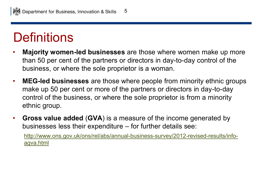## **Definitions**

- **Majority women-led businesses** are those where women make up more than 50 per cent of the partners or directors in day-to-day control of the business, or where the sole proprietor is a woman.
- **MEG-led businesses** are those where people from minority ethnic groups make up 50 per cent or more of the partners or directors in day-to-day control of the business, or where the sole proprietor is from a minority ethnic group.
- **Gross value added** (**GVA**) is a measure of the income generated by businesses less their expenditure – for further details see:

[http://www.ons.gov.uk/ons/rel/abs/annual-business-survey/2012-revised-results/info](http://www.ons.gov.uk/ons/rel/abs/annual-business-survey/2012-revised-results/info-agva.html)[agva.html](http://www.ons.gov.uk/ons/rel/abs/annual-business-survey/2012-revised-results/info-agva.html)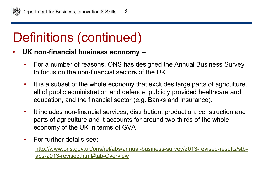# Definitions (continued)

- **UK non-financial business economy** 
	- For a number of reasons, ONS has designed the Annual Business Survey to focus on the non-financial sectors of the UK.
	- It is a subset of the whole economy that excludes large parts of agriculture, all of public administration and defence, publicly provided healthcare and education, and the financial sector (e.g. Banks and Insurance).
	- It includes non-financial services, distribution, production, construction and parts of agriculture and it accounts for around two thirds of the whole economy of the UK in terms of GVA
	- For further details see:

[http://www.ons.gov.uk/ons/rel/abs/annual-business-survey/2013-revised-results/stb](http://www.ons.gov.uk/ons/rel/abs/annual-business-survey/2013-revised-results/stb-abs-2013-revised.html#tab-Overview)[abs-2013-revised.html#tab-Overview](http://www.ons.gov.uk/ons/rel/abs/annual-business-survey/2013-revised-results/stb-abs-2013-revised.html#tab-Overview)